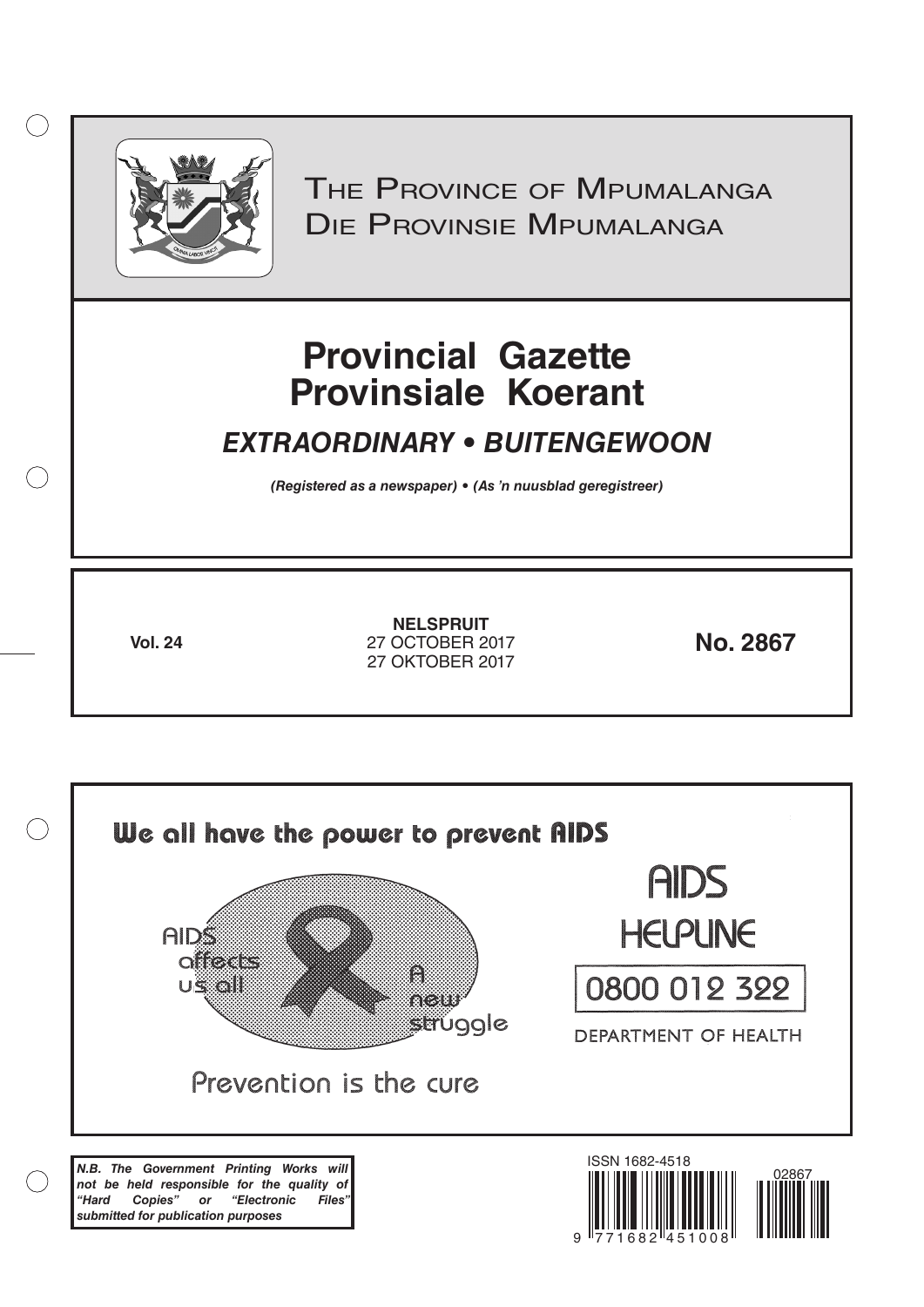

 $( )$ 

THE PROVINCE OF MPUMALANGA Die Provinsie Mpumalanga

# **Provincial Gazette Provinsiale Koerant**

## *EXTRAORDINARY • BUITENGEWOON*

*(Registered as a newspaper) • (As 'n nuusblad geregistreer)*

**Vol. 24 No. 2867** 27 OCTOBER 2017 **NELSPRUIT** 27 OKTOBER 2017

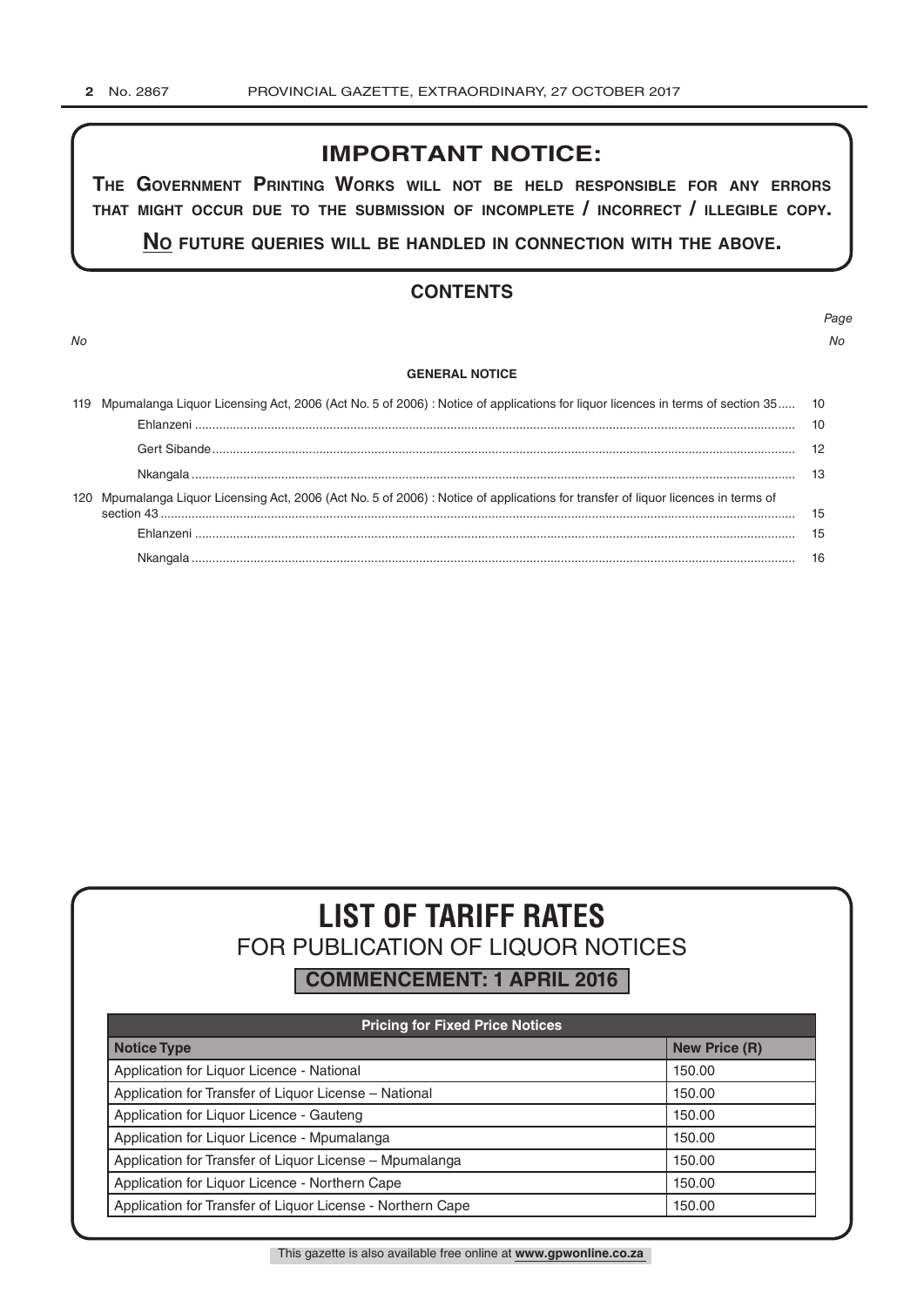## **IMPORTANT NOTICE:**

**The GovernmenT PrinTinG Works Will noT be held resPonsible for any errors ThaT miGhT occur due To The submission of incomPleTe / incorrecT / illeGible coPy.**

**no fuTure queries Will be handled in connecTion WiTh The above.**

## **CONTENTS**

*No No*

# *Page*

#### **GENERAL NOTICE**

|     | Mpumalanga Liquor Licensing Act, 2006 (Act No. 5 of 2006) : Notice of applications for liquor licences in terms of section 35 10 |    |
|-----|----------------------------------------------------------------------------------------------------------------------------------|----|
|     |                                                                                                                                  |    |
|     |                                                                                                                                  |    |
|     |                                                                                                                                  | 13 |
| 120 | Mpumalanga Liquor Licensing Act, 2006 (Act No. 5 of 2006) : Notice of applications for transfer of liquor licences in terms of   | 15 |
|     |                                                                                                                                  | 15 |
|     |                                                                                                                                  | 16 |

# **LIST OF TARIFF RATES** FOR PUBLICATION OF LIQUOR NOTICES

**COMMENCEMENT: 1 APRIL 2016**

| <b>Pricing for Fixed Price Notices</b>                     |                      |  |  |  |
|------------------------------------------------------------|----------------------|--|--|--|
| <b>Notice Type</b>                                         | <b>New Price (R)</b> |  |  |  |
| Application for Liquor Licence - National                  | 150.00               |  |  |  |
| Application for Transfer of Liquor License - National      | 150.00               |  |  |  |
| Application for Liquor Licence - Gauteng                   | 150.00               |  |  |  |
| Application for Liquor Licence - Mpumalanga                | 150.00               |  |  |  |
| Application for Transfer of Liquor License - Mpumalanga    | 150.00               |  |  |  |
| Application for Liquor Licence - Northern Cape             | 150.00               |  |  |  |
| Application for Transfer of Liquor License - Northern Cape | 150.00               |  |  |  |

This gazette is also available free online at **www.gpwonline.co.za**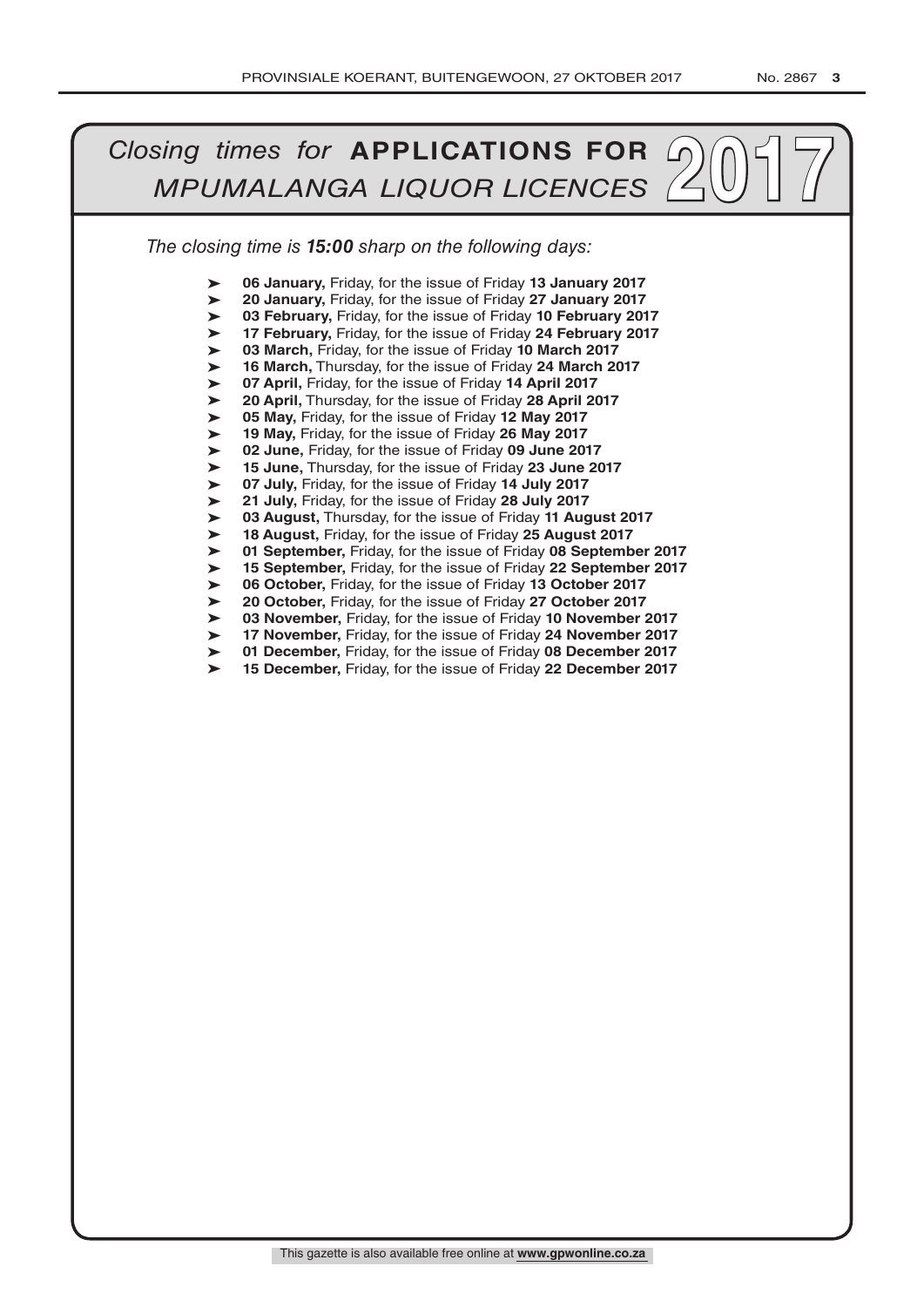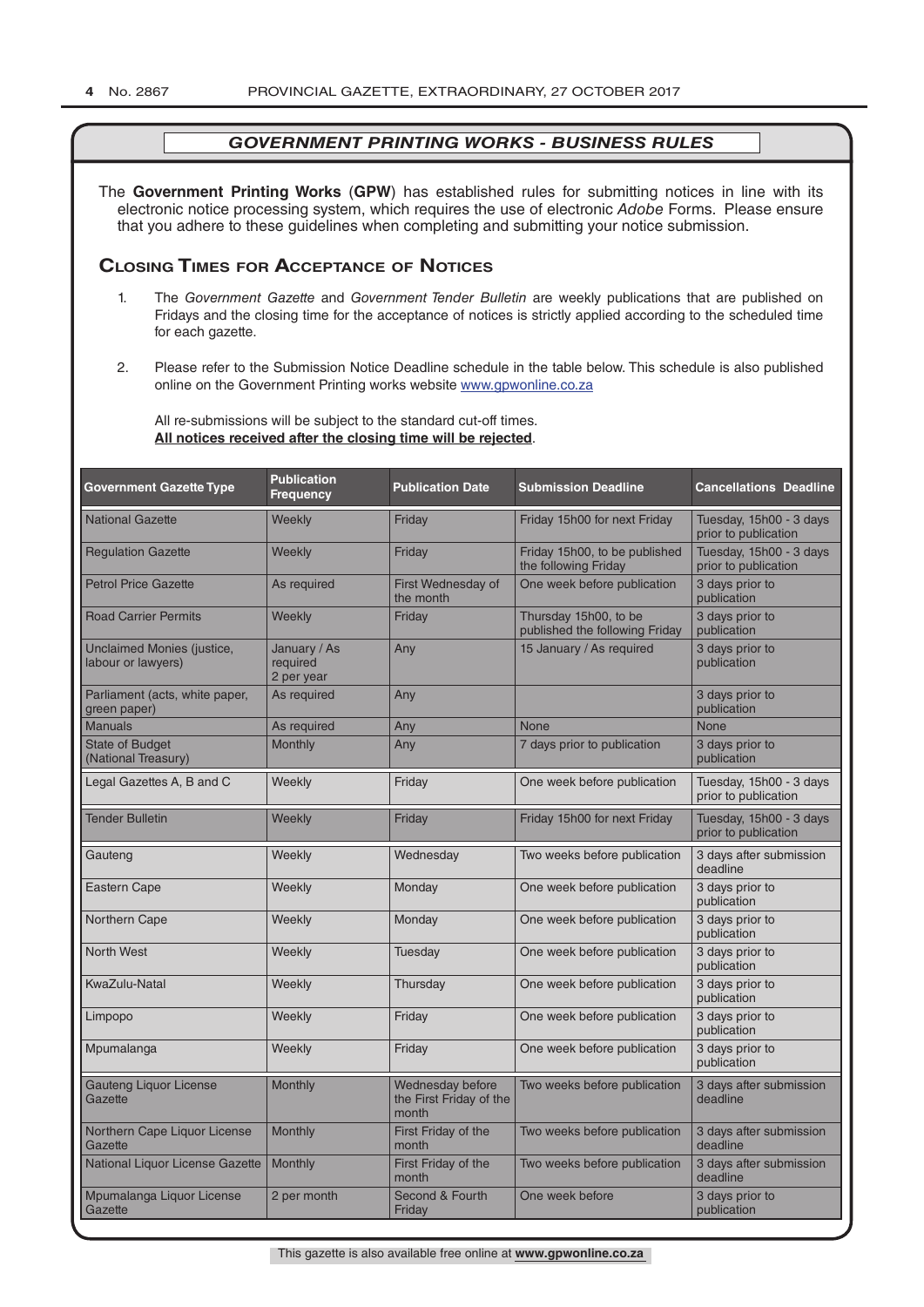The **Government Printing Works** (**GPW**) has established rules for submitting notices in line with its electronic notice processing system, which requires the use of electronic *Adobe* Forms. Please ensure that you adhere to these guidelines when completing and submitting your notice submission.

## **Closing Times for ACCepTAnCe of noTiCes**

- 1. The *Government Gazette* and *Government Tender Bulletin* are weekly publications that are published on Fridays and the closing time for the acceptance of notices is strictly applied according to the scheduled time for each gazette.
- 2. Please refer to the Submission Notice Deadline schedule in the table below. This schedule is also published online on the Government Printing works website www.gpwonline.co.za

All re-submissions will be subject to the standard cut-off times. **All notices received after the closing time will be rejected**.

| <b>Government Gazette Type</b>                   | <b>Publication</b><br><b>Frequency</b> | <b>Publication Date</b>                              | <b>Submission Deadline</b>                              | <b>Cancellations Deadline</b>                   |
|--------------------------------------------------|----------------------------------------|------------------------------------------------------|---------------------------------------------------------|-------------------------------------------------|
| <b>National Gazette</b>                          | Weekly                                 | Friday                                               | Friday 15h00 for next Friday                            | Tuesday, 15h00 - 3 days<br>prior to publication |
| <b>Regulation Gazette</b>                        | Weekly                                 | Friday                                               | Friday 15h00, to be published<br>the following Friday   | Tuesday, 15h00 - 3 days<br>prior to publication |
| <b>Petrol Price Gazette</b>                      | As required                            | First Wednesday of<br>the month                      | One week before publication                             | 3 days prior to<br>publication                  |
| <b>Road Carrier Permits</b>                      | Weekly                                 | Friday                                               | Thursday 15h00, to be<br>published the following Friday | 3 days prior to<br>publication                  |
| Unclaimed Monies (justice,<br>labour or lawyers) | January / As<br>required<br>2 per year | Any                                                  | 15 January / As required                                | 3 days prior to<br>publication                  |
| Parliament (acts, white paper,<br>green paper)   | As required                            | Any                                                  |                                                         | 3 days prior to<br>publication                  |
| <b>Manuals</b>                                   | As required                            | Any                                                  | None                                                    | <b>None</b>                                     |
| <b>State of Budget</b><br>(National Treasury)    | <b>Monthly</b>                         | Any                                                  | 7 days prior to publication                             | 3 days prior to<br>publication                  |
| Legal Gazettes A, B and C                        | Weekly                                 | Friday                                               | One week before publication                             | Tuesday, 15h00 - 3 days<br>prior to publication |
| <b>Tender Bulletin</b>                           | Weekly                                 | Friday                                               | Friday 15h00 for next Friday                            | Tuesday, 15h00 - 3 days<br>prior to publication |
| Gauteng                                          | Weekly                                 | Wednesday                                            | Two weeks before publication                            | 3 days after submission<br>deadline             |
| Eastern Cape                                     | Weekly                                 | Monday                                               | One week before publication                             | 3 days prior to<br>publication                  |
| Northern Cape                                    | Weekly                                 | Monday                                               | One week before publication                             | 3 days prior to<br>publication                  |
| <b>North West</b>                                | Weekly                                 | Tuesday                                              | One week before publication                             | 3 days prior to<br>publication                  |
| KwaZulu-Natal                                    | Weekly                                 | Thursday                                             | One week before publication                             | 3 days prior to<br>publication                  |
| Limpopo                                          | Weekly                                 | Friday                                               | One week before publication                             | 3 days prior to<br>publication                  |
| Mpumalanga                                       | Weekly                                 | Friday                                               | One week before publication                             | 3 days prior to<br>publication                  |
| <b>Gauteng Liquor License</b><br>Gazette         | Monthly                                | Wednesday before<br>the First Friday of the<br>month | Two weeks before publication                            | 3 days after submission<br>deadline             |
| Northern Cape Liquor License<br>Gazette          | Monthly                                | First Friday of the<br>month                         | Two weeks before publication                            | 3 days after submission<br>deadline             |
| National Liquor License Gazette                  | Monthly                                | First Friday of the<br>month                         | Two weeks before publication                            | 3 days after submission<br>deadline             |
| Mpumalanga Liquor License<br>Gazette             | 2 per month                            | Second & Fourth<br>Friday                            | One week before                                         | 3 days prior to<br>publication                  |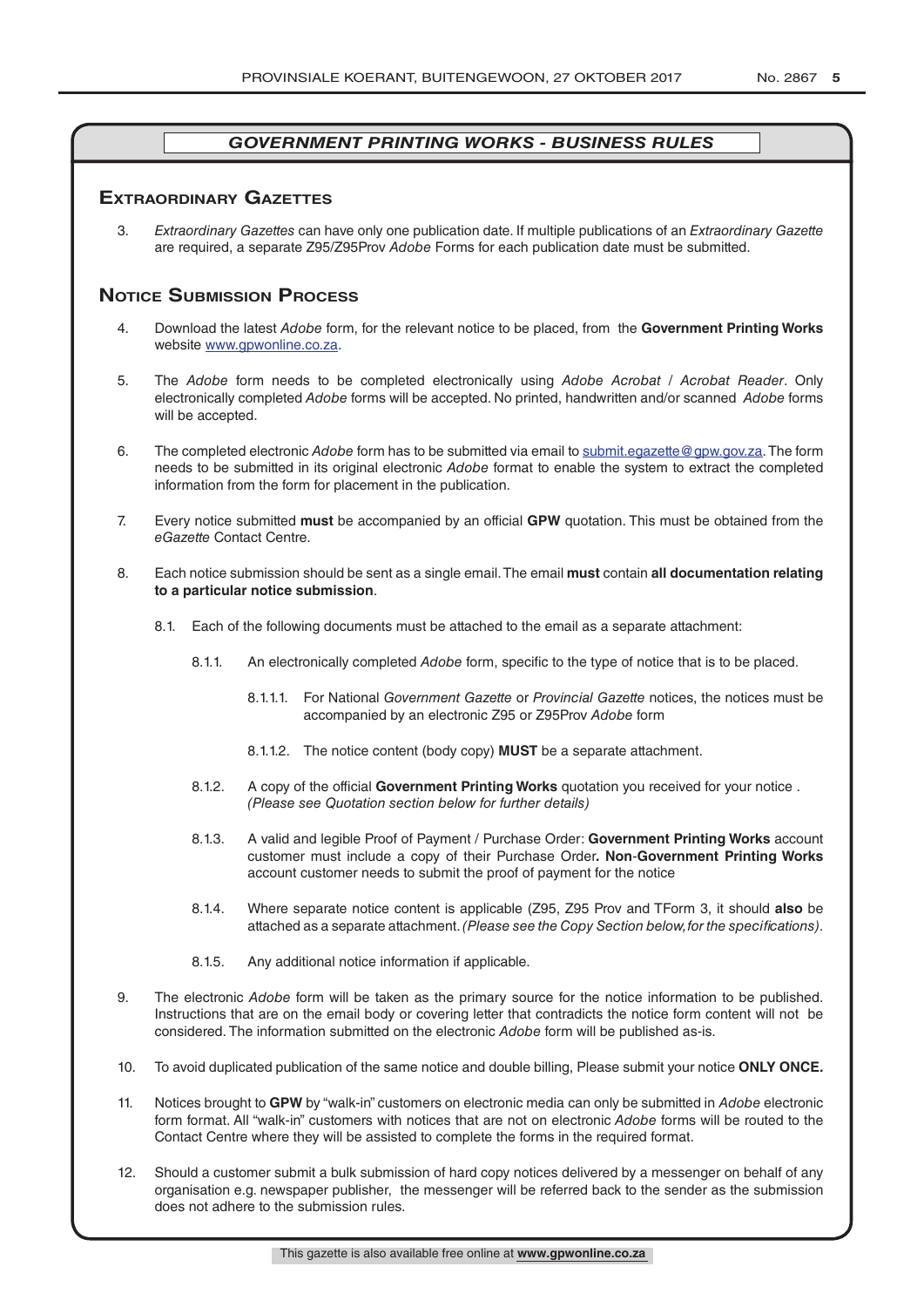## **exTrAordinAry gAzeTTes**

3. *Extraordinary Gazettes* can have only one publication date. If multiple publications of an *Extraordinary Gazette* are required, a separate Z95/Z95Prov *Adobe* Forms for each publication date must be submitted.

## **NOTICE SUBMISSION PROCESS**

- 4. Download the latest *Adobe* form, for the relevant notice to be placed, from the **Government Printing Works** website www.gpwonline.co.za.
- 5. The *Adobe* form needs to be completed electronically using *Adobe Acrobat* / *Acrobat Reader*. Only electronically completed *Adobe* forms will be accepted. No printed, handwritten and/or scanned *Adobe* forms will be accepted.
- 6. The completed electronic *Adobe* form has to be submitted via email to submit.egazette@gpw.gov.za. The form needs to be submitted in its original electronic *Adobe* format to enable the system to extract the completed information from the form for placement in the publication.
- 7. Every notice submitted **must** be accompanied by an official **GPW** quotation. This must be obtained from the *eGazette* Contact Centre.
- 8. Each notice submission should be sent as a single email. The email **must** contain **all documentation relating to a particular notice submission**.
	- 8.1. Each of the following documents must be attached to the email as a separate attachment:
		- 8.1.1. An electronically completed *Adobe* form, specific to the type of notice that is to be placed.
			- 8.1.1.1. For National *Government Gazette* or *Provincial Gazette* notices, the notices must be accompanied by an electronic Z95 or Z95Prov *Adobe* form
			- 8.1.1.2. The notice content (body copy) **MUST** be a separate attachment.
		- 8.1.2. A copy of the official **Government Printing Works** quotation you received for your notice . *(Please see Quotation section below for further details)*
		- 8.1.3. A valid and legible Proof of Payment / Purchase Order: **Government Printing Works** account customer must include a copy of their Purchase Order*.* **Non**-**Government Printing Works** account customer needs to submit the proof of payment for the notice
		- 8.1.4. Where separate notice content is applicable (Z95, Z95 Prov and TForm 3, it should **also** be attached as a separate attachment. *(Please see the Copy Section below, for the specifications)*.
		- 8.1.5. Any additional notice information if applicable.
- 9. The electronic *Adobe* form will be taken as the primary source for the notice information to be published. Instructions that are on the email body or covering letter that contradicts the notice form content will not be considered. The information submitted on the electronic *Adobe* form will be published as-is.
- 10. To avoid duplicated publication of the same notice and double billing, Please submit your notice **ONLY ONCE.**
- 11. Notices brought to **GPW** by "walk-in" customers on electronic media can only be submitted in *Adobe* electronic form format. All "walk-in" customers with notices that are not on electronic *Adobe* forms will be routed to the Contact Centre where they will be assisted to complete the forms in the required format.
- 12. Should a customer submit a bulk submission of hard copy notices delivered by a messenger on behalf of any organisation e.g. newspaper publisher, the messenger will be referred back to the sender as the submission does not adhere to the submission rules.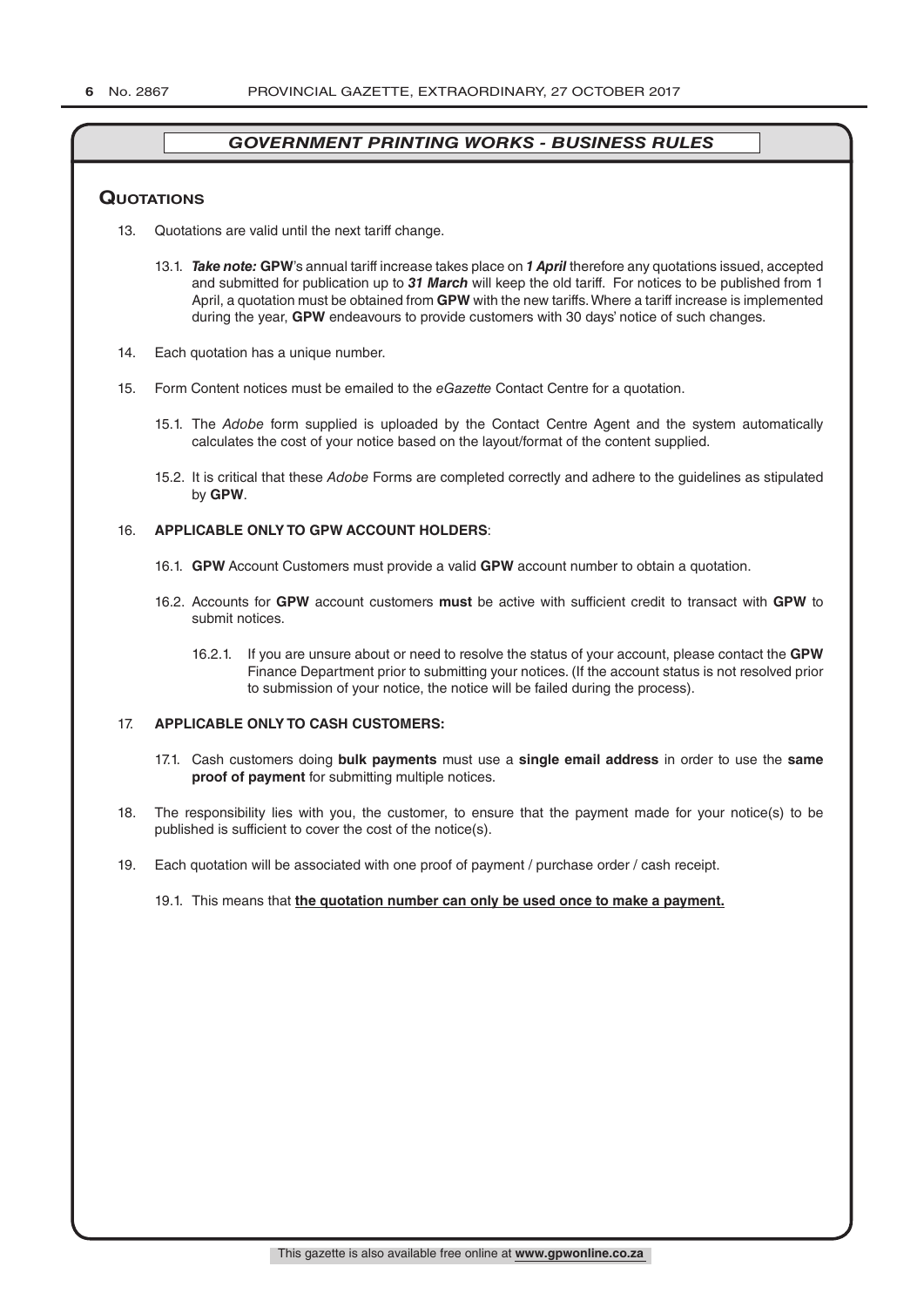## **QuoTATions**

- 13. Quotations are valid until the next tariff change.
	- 13.1. *Take note:* **GPW**'s annual tariff increase takes place on *1 April* therefore any quotations issued, accepted and submitted for publication up to *31 March* will keep the old tariff. For notices to be published from 1 April, a quotation must be obtained from **GPW** with the new tariffs. Where a tariff increase is implemented during the year, **GPW** endeavours to provide customers with 30 days' notice of such changes.
- 14. Each quotation has a unique number.
- 15. Form Content notices must be emailed to the *eGazette* Contact Centre for a quotation.
	- 15.1. The *Adobe* form supplied is uploaded by the Contact Centre Agent and the system automatically calculates the cost of your notice based on the layout/format of the content supplied.
	- 15.2. It is critical that these *Adobe* Forms are completed correctly and adhere to the guidelines as stipulated by **GPW**.

#### 16. **APPLICABLE ONLY TO GPW ACCOUNT HOLDERS**:

- 16.1. **GPW** Account Customers must provide a valid **GPW** account number to obtain a quotation.
- 16.2. Accounts for **GPW** account customers **must** be active with sufficient credit to transact with **GPW** to submit notices.
	- 16.2.1. If you are unsure about or need to resolve the status of your account, please contact the **GPW** Finance Department prior to submitting your notices. (If the account status is not resolved prior to submission of your notice, the notice will be failed during the process).

## 17. **APPLICABLE ONLY TO CASH CUSTOMERS:**

- 17.1. Cash customers doing **bulk payments** must use a **single email address** in order to use the **same proof of payment** for submitting multiple notices.
- 18. The responsibility lies with you, the customer, to ensure that the payment made for your notice(s) to be published is sufficient to cover the cost of the notice(s).
- 19. Each quotation will be associated with one proof of payment / purchase order / cash receipt.

#### 19.1. This means that **the quotation number can only be used once to make a payment.**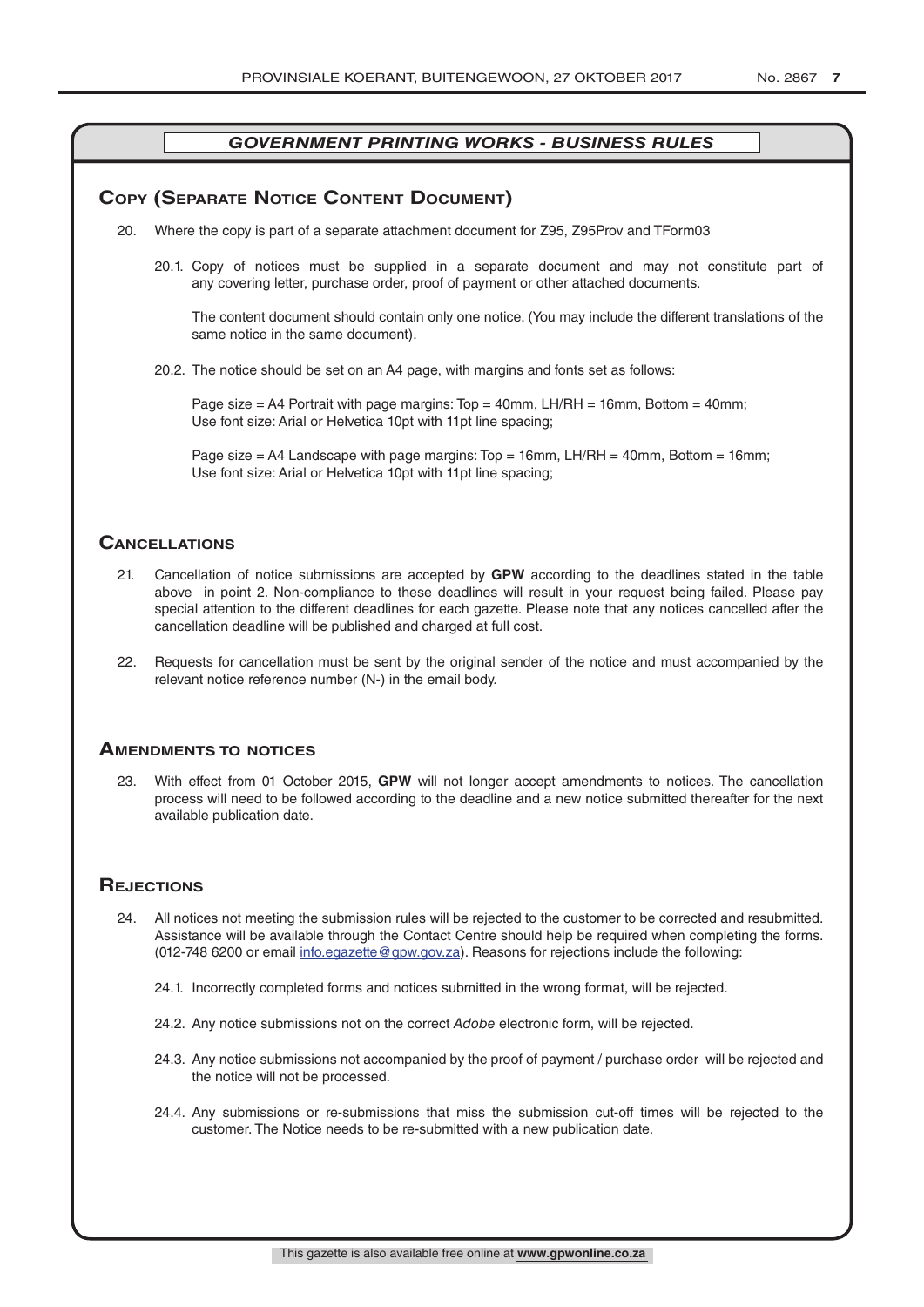## **COPY (SEPARATE NOTICE CONTENT DOCUMENT)**

- 20. Where the copy is part of a separate attachment document for Z95, Z95Prov and TForm03
	- 20.1. Copy of notices must be supplied in a separate document and may not constitute part of any covering letter, purchase order, proof of payment or other attached documents.

The content document should contain only one notice. (You may include the different translations of the same notice in the same document).

20.2. The notice should be set on an A4 page, with margins and fonts set as follows:

Page size  $=$  A4 Portrait with page margins: Top  $=$  40mm, LH/RH  $=$  16mm, Bottom  $=$  40mm; Use font size: Arial or Helvetica 10pt with 11pt line spacing;

Page size = A4 Landscape with page margins: Top = 16mm, LH/RH = 40mm, Bottom = 16mm; Use font size: Arial or Helvetica 10pt with 11pt line spacing;

## **CAnCellATions**

- 21. Cancellation of notice submissions are accepted by **GPW** according to the deadlines stated in the table above in point 2. Non-compliance to these deadlines will result in your request being failed. Please pay special attention to the different deadlines for each gazette. Please note that any notices cancelled after the cancellation deadline will be published and charged at full cost.
- 22. Requests for cancellation must be sent by the original sender of the notice and must accompanied by the relevant notice reference number (N-) in the email body.

## **AmendmenTs To noTiCes**

23. With effect from 01 October 2015, **GPW** will not longer accept amendments to notices. The cancellation process will need to be followed according to the deadline and a new notice submitted thereafter for the next available publication date.

## **REJECTIONS**

- 24. All notices not meeting the submission rules will be rejected to the customer to be corrected and resubmitted. Assistance will be available through the Contact Centre should help be required when completing the forms. (012-748 6200 or email info.egazette@gpw.gov.za). Reasons for rejections include the following:
	- 24.1. Incorrectly completed forms and notices submitted in the wrong format, will be rejected.
	- 24.2. Any notice submissions not on the correct *Adobe* electronic form, will be rejected.
	- 24.3. Any notice submissions not accompanied by the proof of payment / purchase order will be rejected and the notice will not be processed.
	- 24.4. Any submissions or re-submissions that miss the submission cut-off times will be rejected to the customer. The Notice needs to be re-submitted with a new publication date.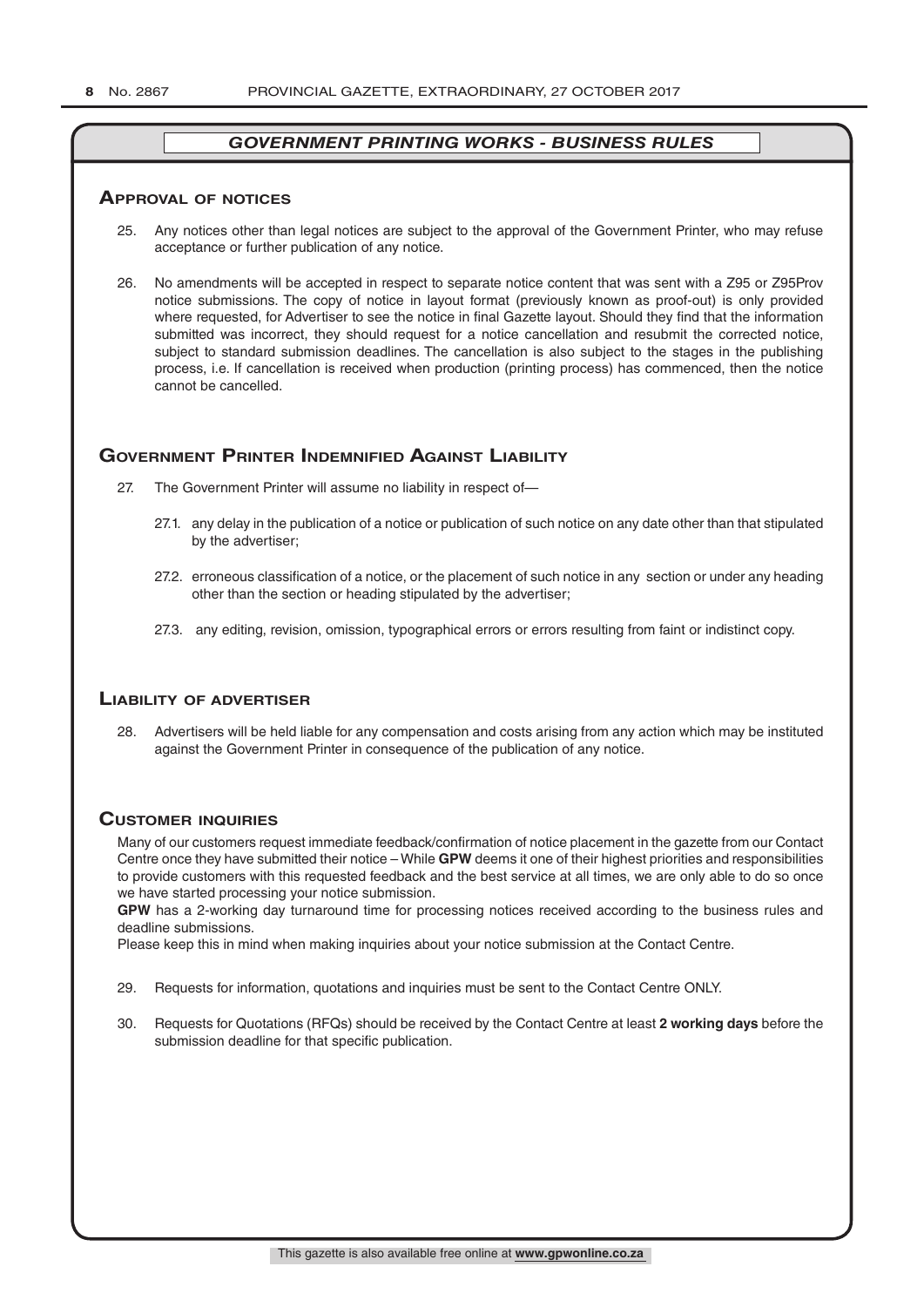#### **ApprovAl of noTiCes**

- 25. Any notices other than legal notices are subject to the approval of the Government Printer, who may refuse acceptance or further publication of any notice.
- 26. No amendments will be accepted in respect to separate notice content that was sent with a Z95 or Z95Prov notice submissions. The copy of notice in layout format (previously known as proof-out) is only provided where requested, for Advertiser to see the notice in final Gazette layout. Should they find that the information submitted was incorrect, they should request for a notice cancellation and resubmit the corrected notice, subject to standard submission deadlines. The cancellation is also subject to the stages in the publishing process, i.e. If cancellation is received when production (printing process) has commenced, then the notice cannot be cancelled.

## **governmenT prinTer indemnified AgAinsT liAbiliTy**

- 27. The Government Printer will assume no liability in respect of—
	- 27.1. any delay in the publication of a notice or publication of such notice on any date other than that stipulated by the advertiser;
	- 27.2. erroneous classification of a notice, or the placement of such notice in any section or under any heading other than the section or heading stipulated by the advertiser;
	- 27.3. any editing, revision, omission, typographical errors or errors resulting from faint or indistinct copy.

## **liAbiliTy of AdverTiser**

28. Advertisers will be held liable for any compensation and costs arising from any action which may be instituted against the Government Printer in consequence of the publication of any notice.

## **CusTomer inQuiries**

Many of our customers request immediate feedback/confirmation of notice placement in the gazette from our Contact Centre once they have submitted their notice – While **GPW** deems it one of their highest priorities and responsibilities to provide customers with this requested feedback and the best service at all times, we are only able to do so once we have started processing your notice submission.

**GPW** has a 2-working day turnaround time for processing notices received according to the business rules and deadline submissions.

Please keep this in mind when making inquiries about your notice submission at the Contact Centre.

- 29. Requests for information, quotations and inquiries must be sent to the Contact Centre ONLY.
- 30. Requests for Quotations (RFQs) should be received by the Contact Centre at least **2 working days** before the submission deadline for that specific publication.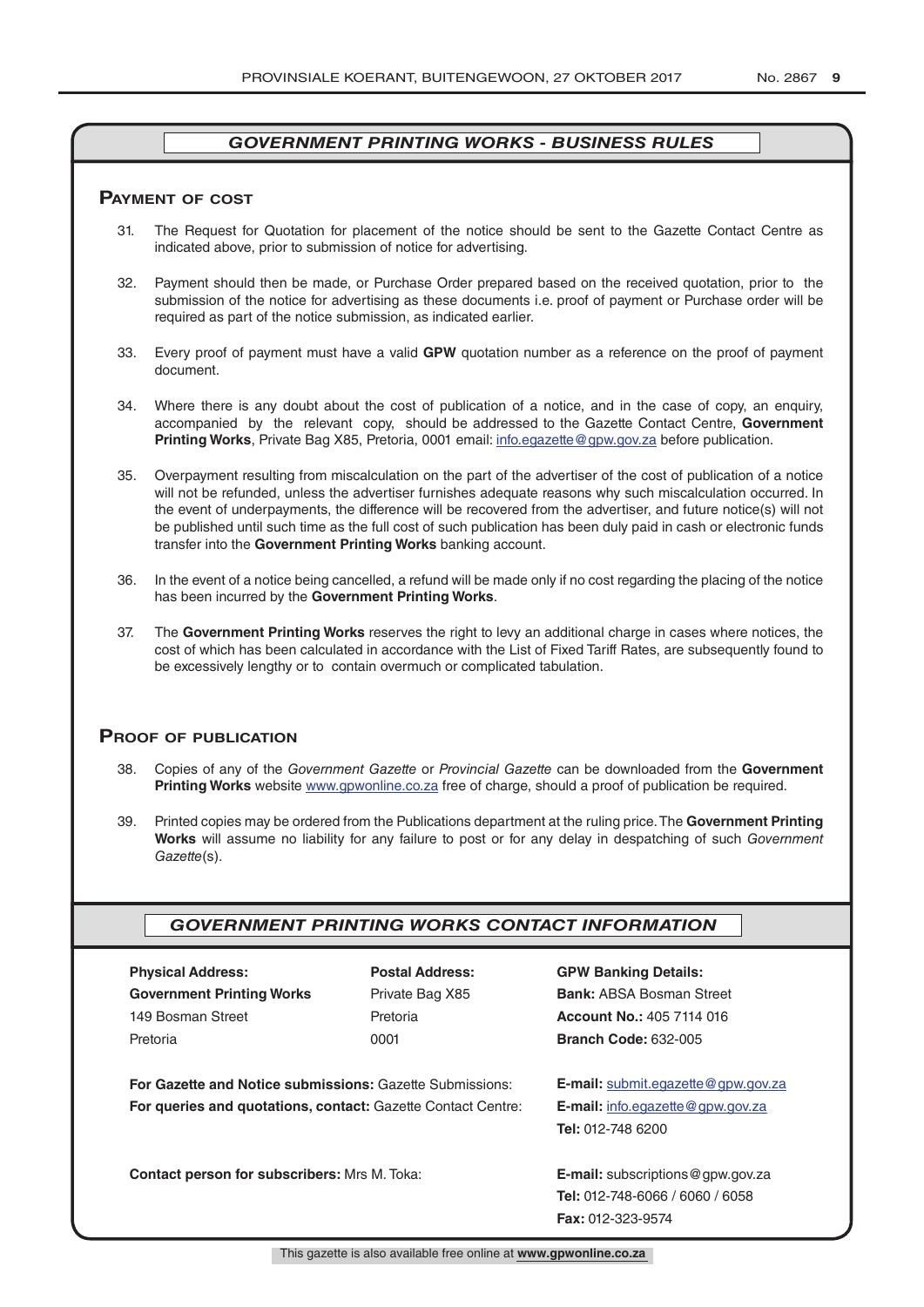## **pAymenT of CosT**

- 31. The Request for Quotation for placement of the notice should be sent to the Gazette Contact Centre as indicated above, prior to submission of notice for advertising.
- 32. Payment should then be made, or Purchase Order prepared based on the received quotation, prior to the submission of the notice for advertising as these documents i.e. proof of payment or Purchase order will be required as part of the notice submission, as indicated earlier.
- 33. Every proof of payment must have a valid **GPW** quotation number as a reference on the proof of payment document.
- 34. Where there is any doubt about the cost of publication of a notice, and in the case of copy, an enquiry, accompanied by the relevant copy, should be addressed to the Gazette Contact Centre, **Government Printing Works**, Private Bag X85, Pretoria, 0001 email: info.egazette@gpw.gov.za before publication.
- 35. Overpayment resulting from miscalculation on the part of the advertiser of the cost of publication of a notice will not be refunded, unless the advertiser furnishes adequate reasons why such miscalculation occurred. In the event of underpayments, the difference will be recovered from the advertiser, and future notice(s) will not be published until such time as the full cost of such publication has been duly paid in cash or electronic funds transfer into the **Government Printing Works** banking account.
- 36. In the event of a notice being cancelled, a refund will be made only if no cost regarding the placing of the notice has been incurred by the **Government Printing Works**.
- 37. The **Government Printing Works** reserves the right to levy an additional charge in cases where notices, the cost of which has been calculated in accordance with the List of Fixed Tariff Rates, are subsequently found to be excessively lengthy or to contain overmuch or complicated tabulation.

## **proof of publiCATion**

- 38. Copies of any of the *Government Gazette* or *Provincial Gazette* can be downloaded from the **Government Printing Works** website www.gpwonline.co.za free of charge, should a proof of publication be required.
- 39. Printed copies may be ordered from the Publications department at the ruling price. The **Government Printing Works** will assume no liability for any failure to post or for any delay in despatching of such *Government Gazette*(s).

## *GOVERNMENT PRINTING WORKS CONTACT INFORMATION*

| <b>Physical Address:</b>         |  |  |  |  |
|----------------------------------|--|--|--|--|
| <b>Government Printing Works</b> |  |  |  |  |
| 149 Bosman Street                |  |  |  |  |
| Pretoria                         |  |  |  |  |

**For Gazette and Notice submissions:** Gazette Submissions: **E-mail:** submit.egazette@gpw.gov.za **For queries and quotations, contact:** Gazette Contact Centre: **E-mail:** info.egazette@gpw.gov.za

**Contact person for subscribers:** Mrs M. Toka: **E-mail:** subscriptions@gpw.gov.za

## **Physical Address: Postal Address: GPW Banking Details:**

Private Bag X85 **Bank:** ABSA Bosman Street 149 Bosman Street Pretoria **Account No.:** 405 7114 016 Pretoria 0001 **Branch Code:** 632-005

**Tel:** 012-748 6200

**Tel:** 012-748-6066 / 6060 / 6058 **Fax:** 012-323-9574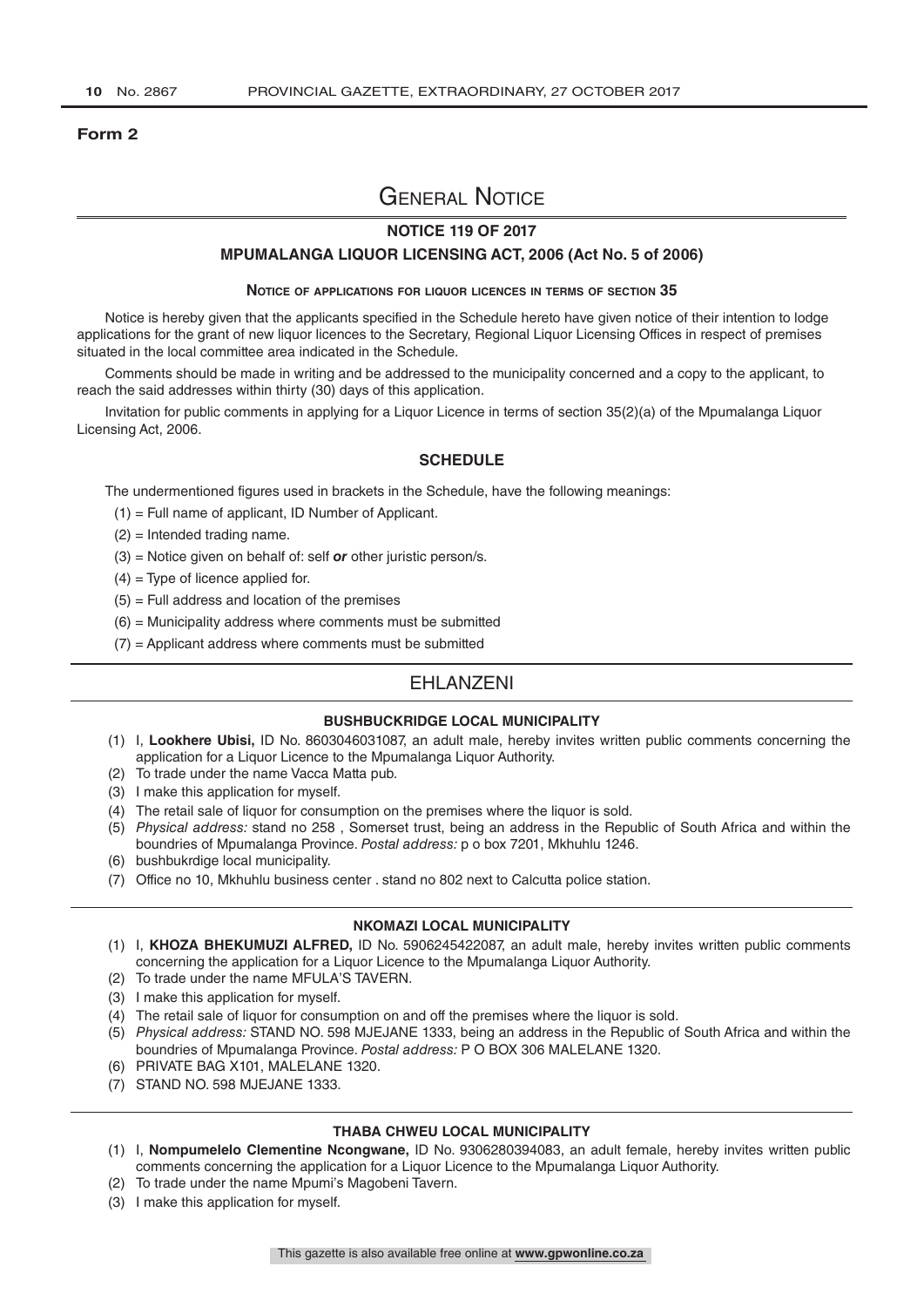#### **Form 2**

## General Notice

## **NOTICE 119 OF 2017**

#### **MPUMALANGA LIQUOR LICENSING ACT, 2006 (Act No. 5 of 2006)**

#### **Notice of applications for liquor licences in terms of section 35**

Notice is hereby given that the applicants specified in the Schedule hereto have given notice of their intention to lodge applications for the grant of new liquor licences to the Secretary, Regional Liquor Licensing Offices in respect of premises situated in the local committee area indicated in the Schedule.

Comments should be made in writing and be addressed to the municipality concerned and a copy to the applicant, to reach the said addresses within thirty (30) days of this application.

Invitation for public comments in applying for a Liquor Licence in terms of section 35(2)(a) of the Mpumalanga Liquor Licensing Act, 2006.

#### **SCHEDULE**

The undermentioned figures used in brackets in the Schedule, have the following meanings:

- (1) = Full name of applicant, ID Number of Applicant.
- (2) = Intended trading name.
- (3) = Notice given on behalf of: self *or* other juristic person/s.
- $(4)$  = Type of licence applied for.
- $(5)$  = Full address and location of the premises
- $(6)$  = Municipality address where comments must be submitted
- $(7)$  = Applicant address where comments must be submitted

## EHLANZENI

## **BUSHBUCKRIDGE LOCAL MUNICIPALITY**

- (1) I, **Lookhere Ubisi,** ID No. 8603046031087, an adult male, hereby invites written public comments concerning the application for a Liquor Licence to the Mpumalanga Liquor Authority.
- (2) To trade under the name Vacca Matta pub.
- (3) I make this application for myself.
- (4) The retail sale of liquor for consumption on the premises where the liquor is sold.
- (5) *Physical address:* stand no 258 , Somerset trust, being an address in the Republic of South Africa and within the boundries of Mpumalanga Province. *Postal address:* p o box 7201, Mkhuhlu 1246.
- (6) bushbukrdige local municipality.
- (7) Office no 10, Mkhuhlu business center . stand no 802 next to Calcutta police station.

#### **NKOMAZI LOCAL MUNICIPALITY**

- (1) I, **KHOZA BHEKUMUZI ALFRED,** ID No. 5906245422087, an adult male, hereby invites written public comments concerning the application for a Liquor Licence to the Mpumalanga Liquor Authority.
- (2) To trade under the name MFULA'S TAVERN.
- (3) I make this application for myself.
- (4) The retail sale of liquor for consumption on and off the premises where the liquor is sold.
- (5) *Physical address:* STAND NO. 598 MJEJANE 1333, being an address in the Republic of South Africa and within the boundries of Mpumalanga Province. *Postal address:* P O BOX 306 MALELANE 1320.
- (6) PRIVATE BAG X101, MALELANE 1320.
- (7) STAND NO. 598 MJEJANE 1333.

## **THABA CHWEU LOCAL MUNICIPALITY**

- (1) I, **Nompumelelo Clementine Ncongwane,** ID No. 9306280394083, an adult female, hereby invites written public comments concerning the application for a Liquor Licence to the Mpumalanga Liquor Authority.
- (2) To trade under the name Mpumi's Magobeni Tavern.
- (3) I make this application for myself.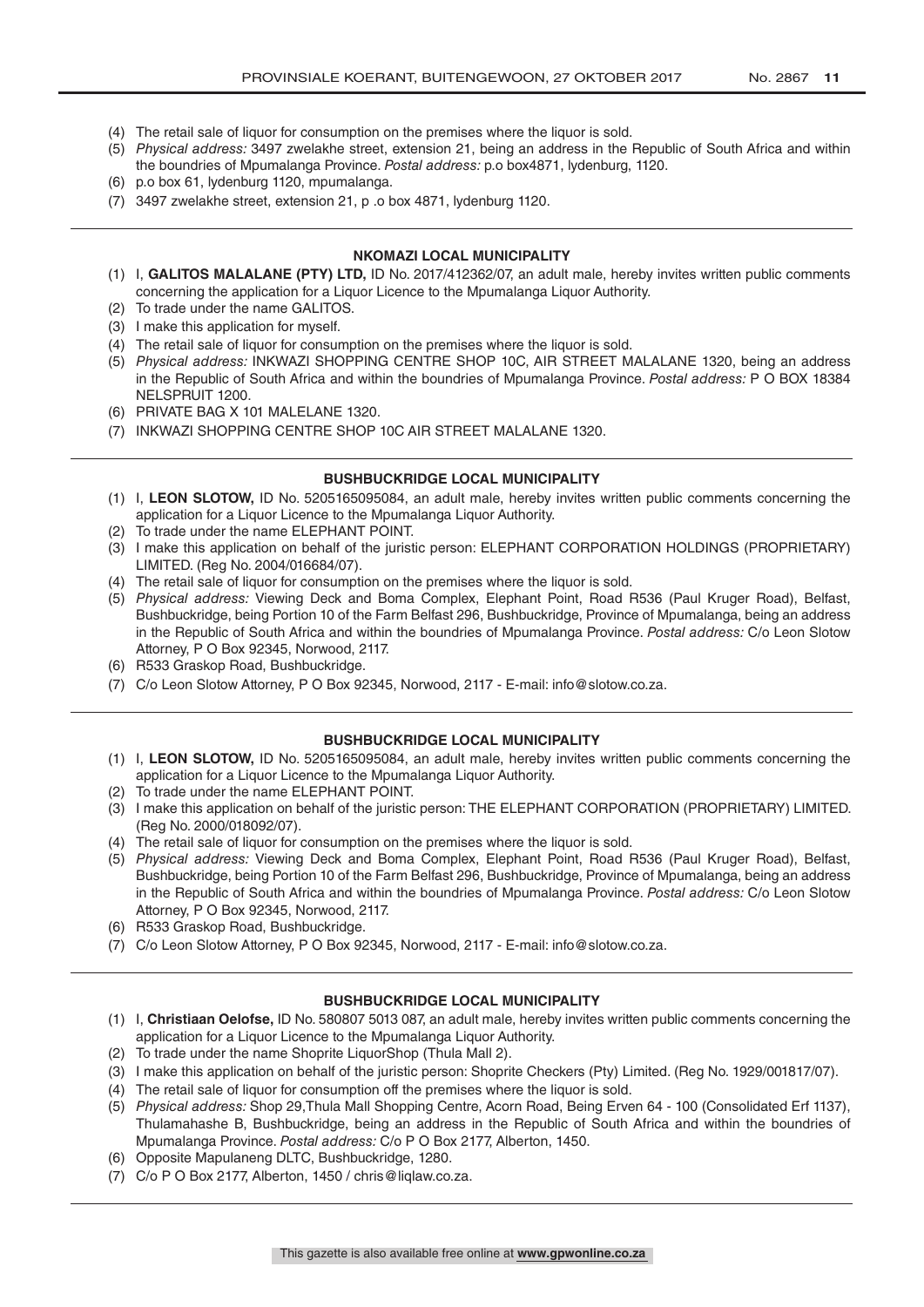- (4) The retail sale of liquor for consumption on the premises where the liquor is sold.
- (5) *Physical address:* 3497 zwelakhe street, extension 21, being an address in the Republic of South Africa and within the boundries of Mpumalanga Province. *Postal address:* p.o box4871, lydenburg, 1120.
- (6) p.o box 61, lydenburg 1120, mpumalanga.
- (7) 3497 zwelakhe street, extension 21, p .o box 4871, lydenburg 1120.

#### **NKOMAZI LOCAL MUNICIPALITY**

- (1) I, **GALITOS MALALANE (PTY) LTD,** ID No. 2017/412362/07, an adult male, hereby invites written public comments concerning the application for a Liquor Licence to the Mpumalanga Liquor Authority.
- (2) To trade under the name GALITOS.
- (3) I make this application for myself.
- (4) The retail sale of liquor for consumption on the premises where the liquor is sold.
- (5) *Physical address:* INKWAZI SHOPPING CENTRE SHOP 10C, AIR STREET MALALANE 1320, being an address in the Republic of South Africa and within the boundries of Mpumalanga Province. *Postal address:* P O BOX 18384 NELSPRUIT 1200.
- (6) PRIVATE BAG X 101 MALELANE 1320.
- (7) INKWAZI SHOPPING CENTRE SHOP 10C AIR STREET MALALANE 1320.

#### **BUSHBUCKRIDGE LOCAL MUNICIPALITY**

- (1) I, **LEON SLOTOW,** ID No. 5205165095084, an adult male, hereby invites written public comments concerning the application for a Liquor Licence to the Mpumalanga Liquor Authority.
- (2) To trade under the name ELEPHANT POINT.
- (3) I make this application on behalf of the juristic person: ELEPHANT CORPORATION HOLDINGS (PROPRIETARY) LIMITED. (Reg No. 2004/016684/07).
- (4) The retail sale of liquor for consumption on the premises where the liquor is sold.
- (5) *Physical address:* Viewing Deck and Boma Complex, Elephant Point, Road R536 (Paul Kruger Road), Belfast, Bushbuckridge, being Portion 10 of the Farm Belfast 296, Bushbuckridge, Province of Mpumalanga, being an address in the Republic of South Africa and within the boundries of Mpumalanga Province. *Postal address:* C/o Leon Slotow Attorney, P O Box 92345, Norwood, 2117.
- (6) R533 Graskop Road, Bushbuckridge.
- (7) C/o Leon Slotow Attorney, P O Box 92345, Norwood, 2117 E-mail: info@slotow.co.za.

#### **BUSHBUCKRIDGE LOCAL MUNICIPALITY**

- (1) I, **LEON SLOTOW,** ID No. 5205165095084, an adult male, hereby invites written public comments concerning the application for a Liquor Licence to the Mpumalanga Liquor Authority.
- (2) To trade under the name ELEPHANT POINT.
- (3) I make this application on behalf of the juristic person: THE ELEPHANT CORPORATION (PROPRIETARY) LIMITED. (Reg No. 2000/018092/07).
- (4) The retail sale of liquor for consumption on the premises where the liquor is sold.
- (5) *Physical address:* Viewing Deck and Boma Complex, Elephant Point, Road R536 (Paul Kruger Road), Belfast, Bushbuckridge, being Portion 10 of the Farm Belfast 296, Bushbuckridge, Province of Mpumalanga, being an address in the Republic of South Africa and within the boundries of Mpumalanga Province. *Postal address:* C/o Leon Slotow Attorney, P O Box 92345, Norwood, 2117.
- (6) R533 Graskop Road, Bushbuckridge.
- (7) C/o Leon Slotow Attorney, P O Box 92345, Norwood, 2117 E-mail: info@slotow.co.za.

## **BUSHBUCKRIDGE LOCAL MUNICIPALITY**

- (1) I, **Christiaan Oelofse,** ID No. 580807 5013 087, an adult male, hereby invites written public comments concerning the application for a Liquor Licence to the Mpumalanga Liquor Authority.
- (2) To trade under the name Shoprite LiquorShop (Thula Mall 2).
- (3) I make this application on behalf of the juristic person: Shoprite Checkers (Pty) Limited. (Reg No. 1929/001817/07).
- (4) The retail sale of liquor for consumption off the premises where the liquor is sold.
- (5) *Physical address:* Shop 29,Thula Mall Shopping Centre, Acorn Road, Being Erven 64 100 (Consolidated Erf 1137), Thulamahashe B, Bushbuckridge, being an address in the Republic of South Africa and within the boundries of Mpumalanga Province. *Postal address:* C/o P O Box 2177, Alberton, 1450.
- (6) Opposite Mapulaneng DLTC, Bushbuckridge, 1280.
- (7) C/o P O Box 2177, Alberton, 1450 / chris@liqlaw.co.za.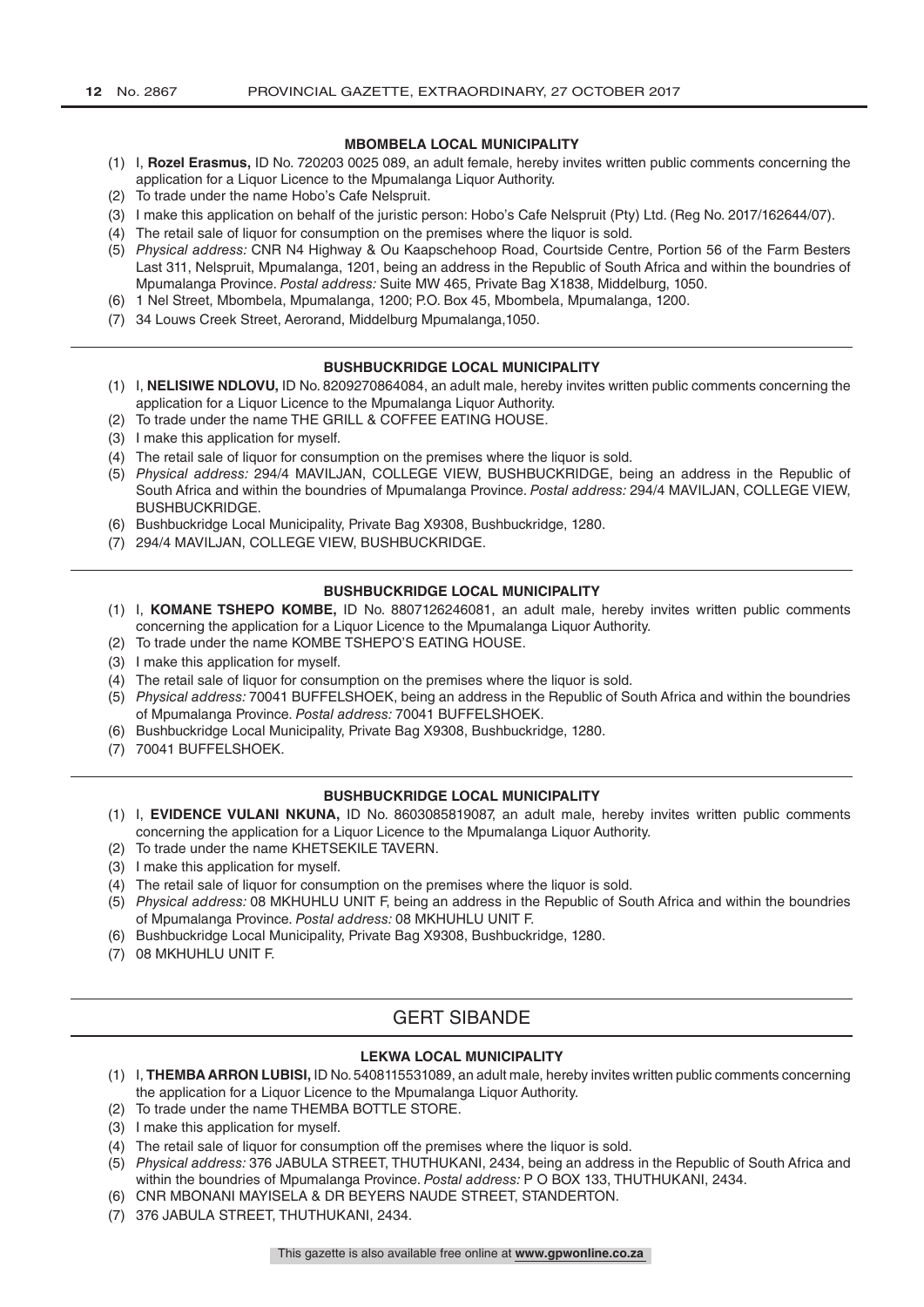#### **MBOMBELA LOCAL MUNICIPALITY**

- (1) I, **Rozel Erasmus,** ID No. 720203 0025 089, an adult female, hereby invites written public comments concerning the application for a Liquor Licence to the Mpumalanga Liquor Authority.
- (2) To trade under the name Hobo's Cafe Nelspruit.
- (3) I make this application on behalf of the juristic person: Hobo's Cafe Nelspruit (Pty) Ltd. (Reg No. 2017/162644/07).
- (4) The retail sale of liquor for consumption on the premises where the liquor is sold.
- (5) *Physical address:* CNR N4 Highway & Ou Kaapschehoop Road, Courtside Centre, Portion 56 of the Farm Besters Last 311, Nelspruit, Mpumalanga, 1201, being an address in the Republic of South Africa and within the boundries of Mpumalanga Province. *Postal address:* Suite MW 465, Private Bag X1838, Middelburg, 1050.
- (6) 1 Nel Street, Mbombela, Mpumalanga, 1200; P.O. Box 45, Mbombela, Mpumalanga, 1200.
- (7) 34 Louws Creek Street, Aerorand, Middelburg Mpumalanga,1050.

## **BUSHBUCKRIDGE LOCAL MUNICIPALITY**

- (1) I, **NELISIWE NDLOVU,** ID No. 8209270864084, an adult male, hereby invites written public comments concerning the application for a Liquor Licence to the Mpumalanga Liquor Authority.
- (2) To trade under the name THE GRILL & COFFEE EATING HOUSE.
- (3) I make this application for myself.
- (4) The retail sale of liquor for consumption on the premises where the liquor is sold.
- (5) *Physical address:* 294/4 MAVILJAN, COLLEGE VIEW, BUSHBUCKRIDGE, being an address in the Republic of South Africa and within the boundries of Mpumalanga Province. *Postal address:* 294/4 MAVILJAN, COLLEGE VIEW, BUSHBUCKRIDGE.
- (6) Bushbuckridge Local Municipality, Private Bag X9308, Bushbuckridge, 1280.
- (7) 294/4 MAVILJAN, COLLEGE VIEW, BUSHBUCKRIDGE.

## **BUSHBUCKRIDGE LOCAL MUNICIPALITY**

- (1) I, **KOMANE TSHEPO KOMBE,** ID No. 8807126246081, an adult male, hereby invites written public comments concerning the application for a Liquor Licence to the Mpumalanga Liquor Authority.
- (2) To trade under the name KOMBE TSHEPO'S EATING HOUSE.
- (3) I make this application for myself.
- (4) The retail sale of liquor for consumption on the premises where the liquor is sold.
- (5) *Physical address:* 70041 BUFFELSHOEK, being an address in the Republic of South Africa and within the boundries of Mpumalanga Province. *Postal address:* 70041 BUFFELSHOEK.
- (6) Bushbuckridge Local Municipality, Private Bag X9308, Bushbuckridge, 1280.
- (7) 70041 BUFFELSHOEK.

#### **BUSHBUCKRIDGE LOCAL MUNICIPALITY**

- (1) I, **EVIDENCE VULANI NKUNA,** ID No. 8603085819087, an adult male, hereby invites written public comments concerning the application for a Liquor Licence to the Mpumalanga Liquor Authority.
- (2) To trade under the name KHETSEKILE TAVERN.
- (3) I make this application for myself.
- (4) The retail sale of liquor for consumption on the premises where the liquor is sold.
- (5) *Physical address:* 08 MKHUHLU UNIT F, being an address in the Republic of South Africa and within the boundries of Mpumalanga Province. *Postal address:* 08 MKHUHLU UNIT F.
- (6) Bushbuckridge Local Municipality, Private Bag X9308, Bushbuckridge, 1280.
- (7) 08 MKHUHLU UNIT F.

## GERT SIBANDE

#### **LEKWA LOCAL MUNICIPALITY**

- (1) I, **THEMBA ARRON LUBISI,** ID No. 5408115531089, an adult male, hereby invites written public comments concerning the application for a Liquor Licence to the Mpumalanga Liquor Authority.
- (2) To trade under the name THEMBA BOTTLE STORE.
- (3) I make this application for myself.
- (4) The retail sale of liquor for consumption off the premises where the liquor is sold.
- (5) *Physical address:* 376 JABULA STREET, THUTHUKANI, 2434, being an address in the Republic of South Africa and within the boundries of Mpumalanga Province. *Postal address:* P O BOX 133, THUTHUKANI, 2434.
- (6) CNR MBONANI MAYISELA & DR BEYERS NAUDE STREET, STANDERTON.
- (7) 376 JABULA STREET, THUTHUKANI, 2434.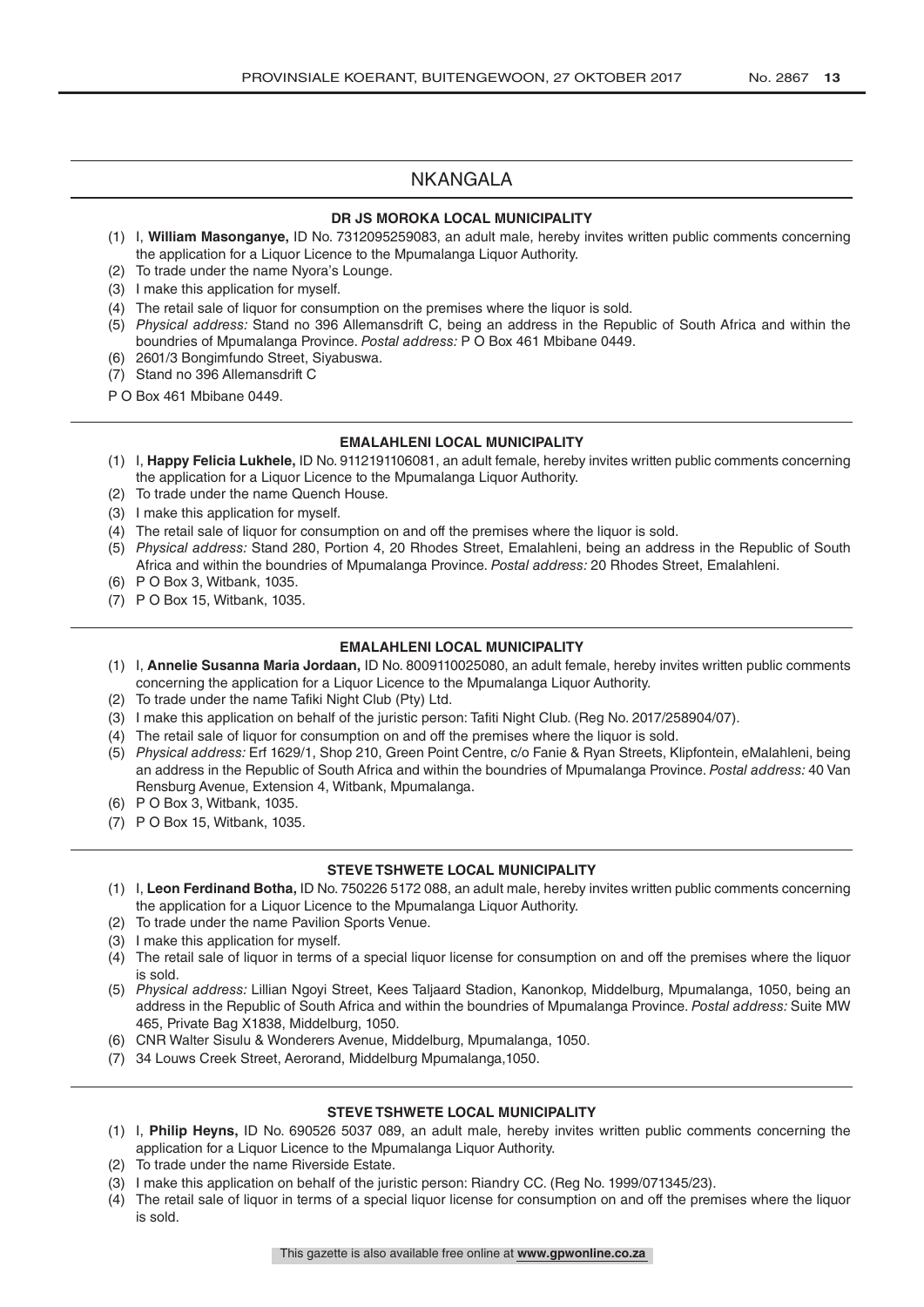## NKANGALA

## **DR JS MOROKA LOCAL MUNICIPALITY**

- (1) I, **William Masonganye,** ID No. 7312095259083, an adult male, hereby invites written public comments concerning the application for a Liquor Licence to the Mpumalanga Liquor Authority.
- (2) To trade under the name Nyora's Lounge.
- (3) I make this application for myself.
- (4) The retail sale of liquor for consumption on the premises where the liquor is sold.
- (5) *Physical address:* Stand no 396 Allemansdrift C, being an address in the Republic of South Africa and within the boundries of Mpumalanga Province. *Postal address:* P O Box 461 Mbibane 0449.
- (6) 2601/3 Bongimfundo Street, Siyabuswa.
- (7) Stand no 396 Allemansdrift C

P O Box 461 Mbibane 0449.

## **EMALAHLENI LOCAL MUNICIPALITY**

- (1) I, **Happy Felicia Lukhele,** ID No. 9112191106081, an adult female, hereby invites written public comments concerning the application for a Liquor Licence to the Mpumalanga Liquor Authority.
- (2) To trade under the name Quench House.
- (3) I make this application for myself.
- (4) The retail sale of liquor for consumption on and off the premises where the liquor is sold.
- (5) *Physical address:* Stand 280, Portion 4, 20 Rhodes Street, Emalahleni, being an address in the Republic of South Africa and within the boundries of Mpumalanga Province. *Postal address:* 20 Rhodes Street, Emalahleni.
- (6) P O Box 3, Witbank, 1035.
- (7) P O Box 15, Witbank, 1035.

## **EMALAHLENI LOCAL MUNICIPALITY**

- (1) I, **Annelie Susanna Maria Jordaan,** ID No. 8009110025080, an adult female, hereby invites written public comments concerning the application for a Liquor Licence to the Mpumalanga Liquor Authority.
- (2) To trade under the name Tafiki Night Club (Pty) Ltd.
- (3) I make this application on behalf of the juristic person: Tafiti Night Club. (Reg No. 2017/258904/07).
- (4) The retail sale of liquor for consumption on and off the premises where the liquor is sold.
- (5) *Physical address:* Erf 1629/1, Shop 210, Green Point Centre, c/o Fanie & Ryan Streets, Klipfontein, eMalahleni, being an address in the Republic of South Africa and within the boundries of Mpumalanga Province. *Postal address:* 40 Van Rensburg Avenue, Extension 4, Witbank, Mpumalanga.
- (6) P O Box 3, Witbank, 1035.
- (7) P O Box 15, Witbank, 1035.

## **STEVE TSHWETE LOCAL MUNICIPALITY**

- (1) I, **Leon Ferdinand Botha,** ID No. 750226 5172 088, an adult male, hereby invites written public comments concerning the application for a Liquor Licence to the Mpumalanga Liquor Authority.
- (2) To trade under the name Pavilion Sports Venue.
- (3) I make this application for myself.
- (4) The retail sale of liquor in terms of a special liquor license for consumption on and off the premises where the liquor is sold.
- (5) *Physical address:* Lillian Ngoyi Street, Kees Taljaard Stadion, Kanonkop, Middelburg, Mpumalanga, 1050, being an address in the Republic of South Africa and within the boundries of Mpumalanga Province. *Postal address:* Suite MW 465, Private Bag X1838, Middelburg, 1050.
- (6) CNR Walter Sisulu & Wonderers Avenue, Middelburg, Mpumalanga, 1050.
- (7) 34 Louws Creek Street, Aerorand, Middelburg Mpumalanga,1050.

## **STEVE TSHWETE LOCAL MUNICIPALITY**

- (1) I, **Philip Heyns,** ID No. 690526 5037 089, an adult male, hereby invites written public comments concerning the application for a Liquor Licence to the Mpumalanga Liquor Authority.
- (2) To trade under the name Riverside Estate.
- (3) I make this application on behalf of the juristic person: Riandry CC. (Reg No. 1999/071345/23).
- (4) The retail sale of liquor in terms of a special liquor license for consumption on and off the premises where the liquor is sold.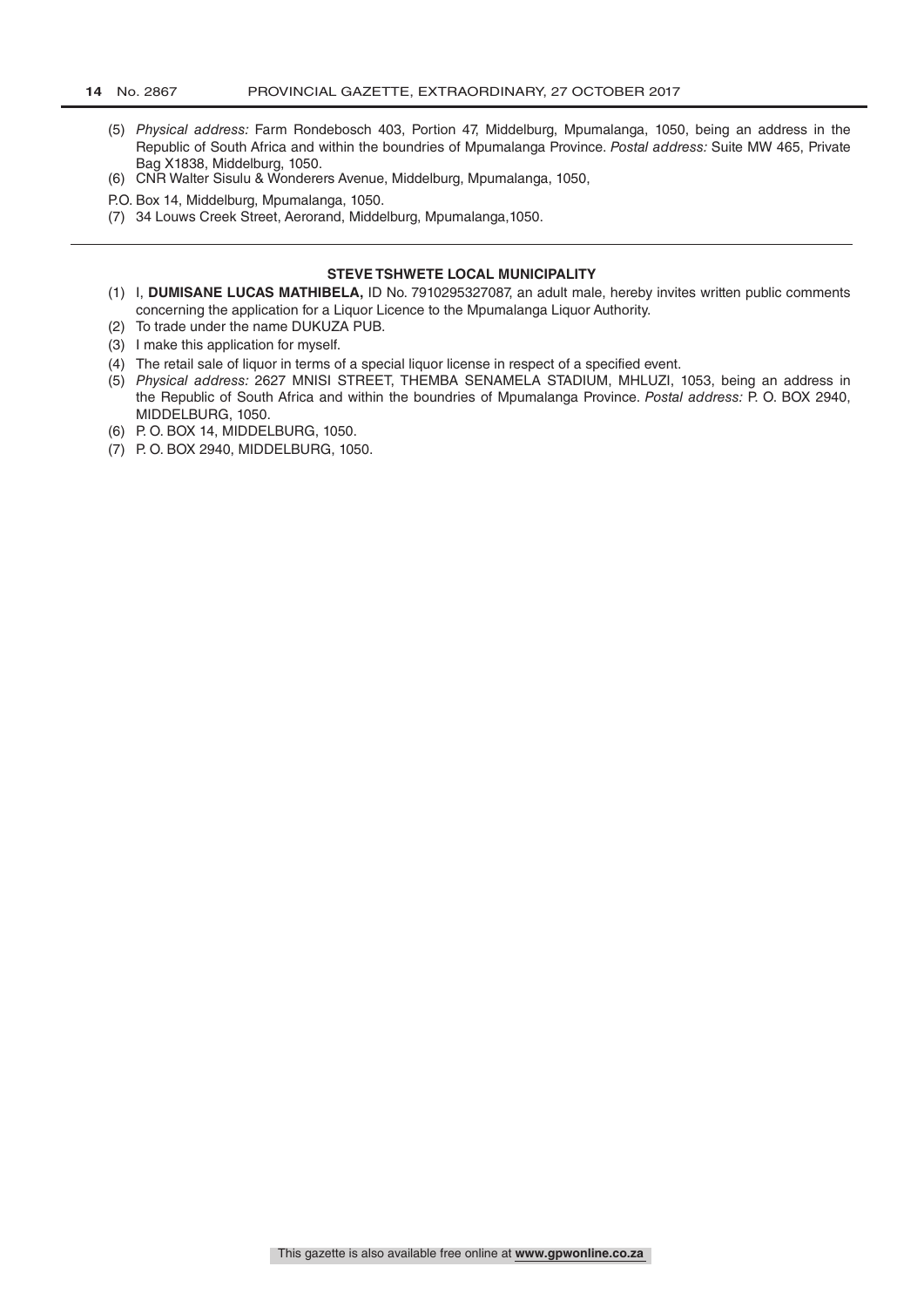- (5) *Physical address:* Farm Rondebosch 403, Portion 47, Middelburg, Mpumalanga, 1050, being an address in the Republic of South Africa and within the boundries of Mpumalanga Province. *Postal address:* Suite MW 465, Private Bag X1838, Middelburg, 1050.
- (6) CNR Walter Sisulu & Wonderers Avenue, Middelburg, Mpumalanga, 1050,
- P.O. Box 14, Middelburg, Mpumalanga, 1050.
- (7) 34 Louws Creek Street, Aerorand, Middelburg, Mpumalanga,1050.

#### **STEVE TSHWETE LOCAL MUNICIPALITY**

- (1) I, **DUMISANE LUCAS MATHIBELA,** ID No. 7910295327087, an adult male, hereby invites written public comments concerning the application for a Liquor Licence to the Mpumalanga Liquor Authority.
- (2) To trade under the name DUKUZA PUB.
- (3) I make this application for myself.
- (4) The retail sale of liquor in terms of a special liquor license in respect of a specified event.
- (5) *Physical address:* 2627 MNISI STREET, THEMBA SENAMELA STADIUM, MHLUZI, 1053, being an address in the Republic of South Africa and within the boundries of Mpumalanga Province. *Postal address:* P. O. BOX 2940, MIDDELBURG, 1050.
- (6) P. O. BOX 14, MIDDELBURG, 1050.
- (7) P. O. BOX 2940, MIDDELBURG, 1050.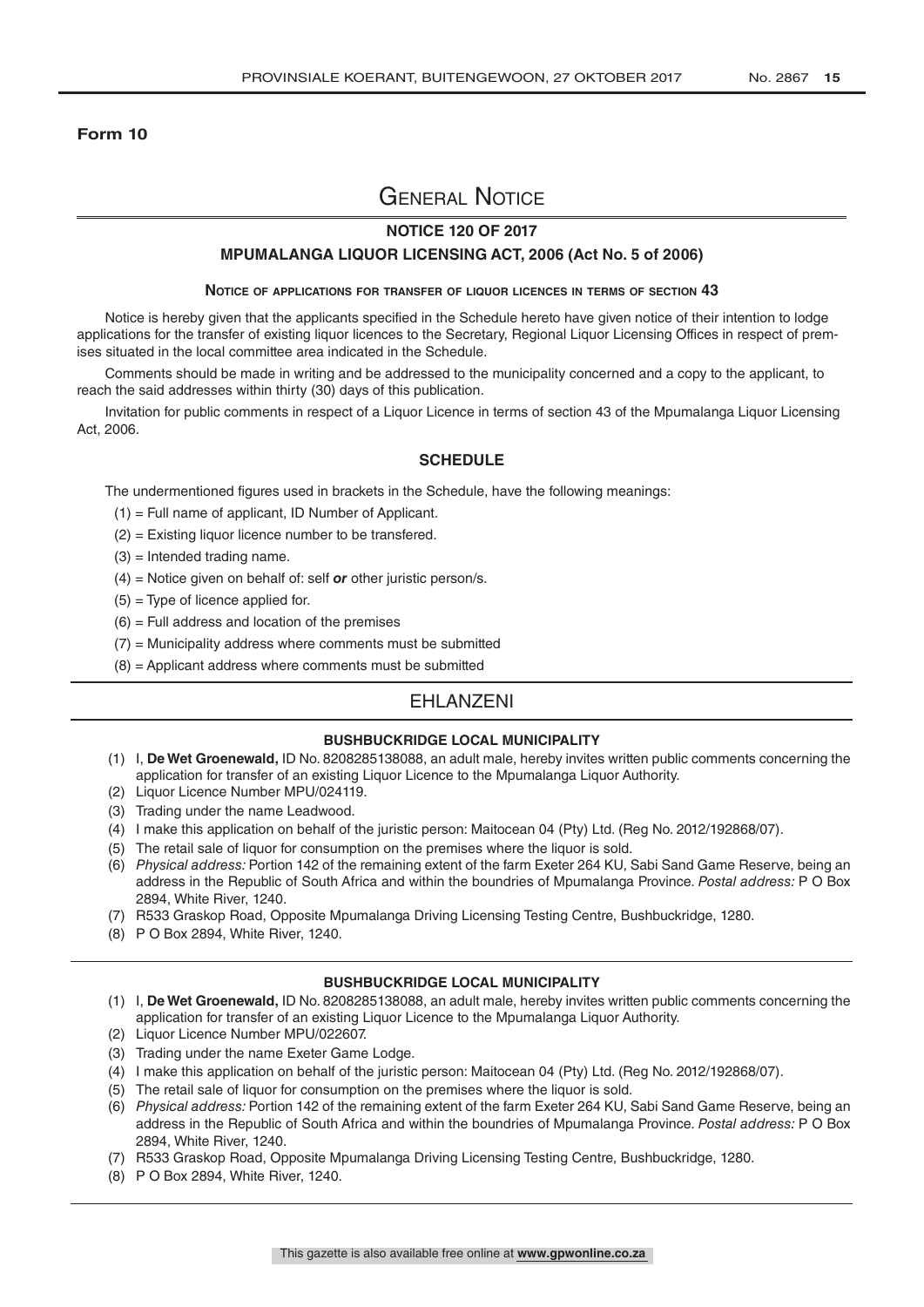## **Form 10**

## General Notice

## **NOTICE 120 OF 2017**

## **MPUMALANGA LIQUOR LICENSING ACT, 2006 (Act No. 5 of 2006)**

#### **Notice of applications for transfer of liquor licences in terms of section 43**

Notice is hereby given that the applicants specified in the Schedule hereto have given notice of their intention to lodge applications for the transfer of existing liquor licences to the Secretary, Regional Liquor Licensing Offices in respect of premises situated in the local committee area indicated in the Schedule.

Comments should be made in writing and be addressed to the municipality concerned and a copy to the applicant, to reach the said addresses within thirty (30) days of this publication.

Invitation for public comments in respect of a Liquor Licence in terms of section 43 of the Mpumalanga Liquor Licensing Act, 2006.

## **SCHEDULE**

The undermentioned figures used in brackets in the Schedule, have the following meanings:

- (1) = Full name of applicant, ID Number of Applicant.
- (2) = Existing liquor licence number to be transfered.
- $(3)$  = Intended trading name.
- (4) = Notice given on behalf of: self *or* other juristic person/s.
- $(5)$  = Type of licence applied for.
- $(6)$  = Full address and location of the premises
- $(7)$  = Municipality address where comments must be submitted
- $(8)$  = Applicant address where comments must be submitted

## EHLANZENI

## **BUSHBUCKRIDGE LOCAL MUNICIPALITY**

- (1) I, **De Wet Groenewald,** ID No. 8208285138088, an adult male, hereby invites written public comments concerning the application for transfer of an existing Liquor Licence to the Mpumalanga Liquor Authority.
- (2) Liquor Licence Number MPU/024119.
- (3) Trading under the name Leadwood.
- (4) I make this application on behalf of the juristic person: Maitocean 04 (Pty) Ltd. (Reg No. 2012/192868/07).
- (5) The retail sale of liquor for consumption on the premises where the liquor is sold.
- (6) *Physical address:* Portion 142 of the remaining extent of the farm Exeter 264 KU, Sabi Sand Game Reserve, being an address in the Republic of South Africa and within the boundries of Mpumalanga Province. *Postal address:* P O Box 2894, White River, 1240.
- (7) R533 Graskop Road, Opposite Mpumalanga Driving Licensing Testing Centre, Bushbuckridge, 1280.
- (8) P O Box 2894, White River, 1240.

#### **BUSHBUCKRIDGE LOCAL MUNICIPALITY**

- (1) I, **De Wet Groenewald,** ID No. 8208285138088, an adult male, hereby invites written public comments concerning the application for transfer of an existing Liquor Licence to the Mpumalanga Liquor Authority.
- (2) Liquor Licence Number MPU/022607.
- (3) Trading under the name Exeter Game Lodge.
- (4) I make this application on behalf of the juristic person: Maitocean 04 (Pty) Ltd. (Reg No. 2012/192868/07).
- (5) The retail sale of liquor for consumption on the premises where the liquor is sold.
- (6) *Physical address:* Portion 142 of the remaining extent of the farm Exeter 264 KU, Sabi Sand Game Reserve, being an address in the Republic of South Africa and within the boundries of Mpumalanga Province. *Postal address:* P O Box 2894, White River, 1240.
- (7) R533 Graskop Road, Opposite Mpumalanga Driving Licensing Testing Centre, Bushbuckridge, 1280.
- (8) P O Box 2894, White River, 1240.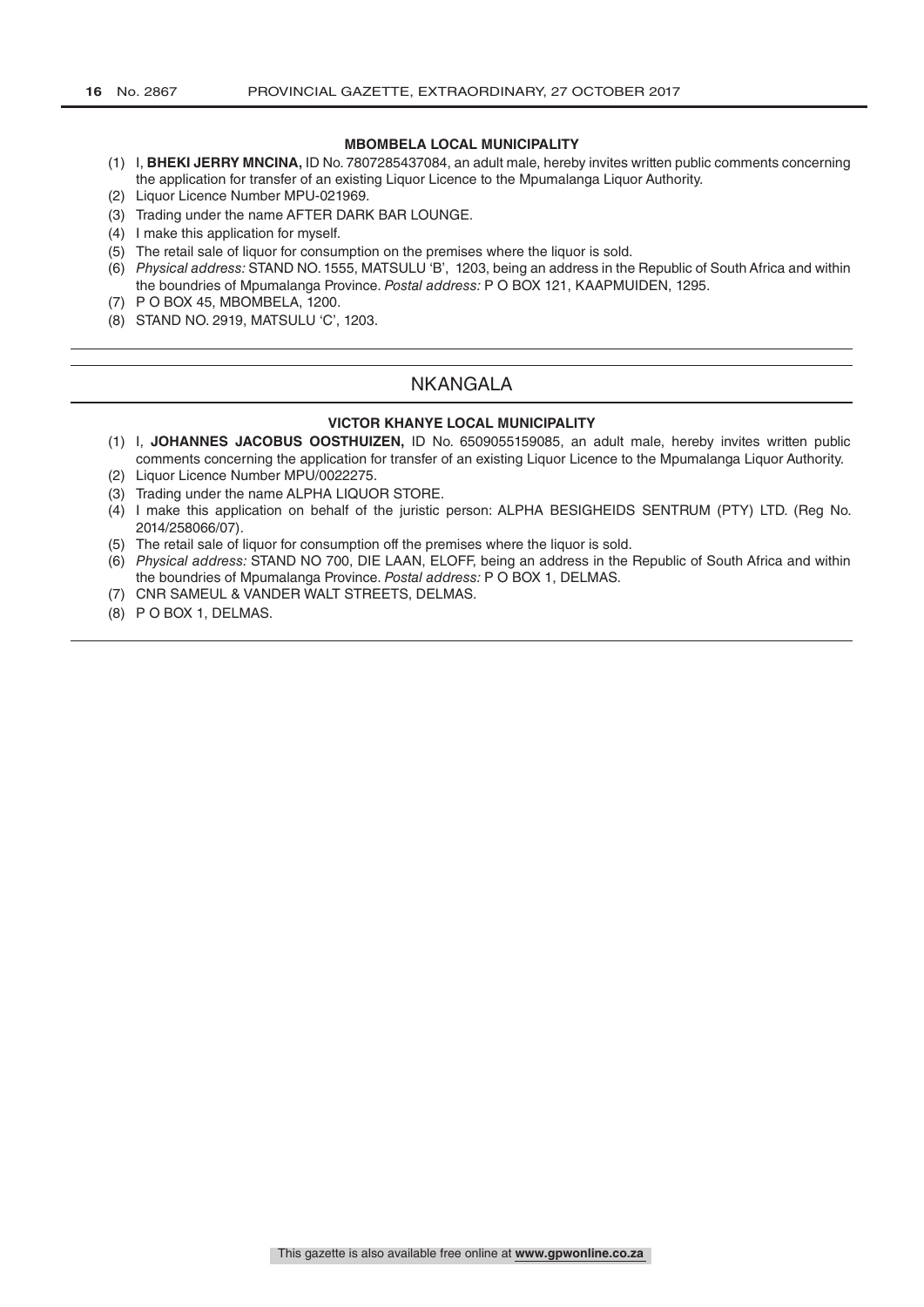## **MBOMBELA LOCAL MUNICIPALITY**

- (1) I, **BHEKI JERRY MNCINA,** ID No. 7807285437084, an adult male, hereby invites written public comments concerning the application for transfer of an existing Liquor Licence to the Mpumalanga Liquor Authority.
- (2) Liquor Licence Number MPU-021969.
- (3) Trading under the name AFTER DARK BAR LOUNGE.
- (4) I make this application for myself.
- (5) The retail sale of liquor for consumption on the premises where the liquor is sold.
- (6) *Physical address:* STAND NO. 1555, MATSULU 'B', 1203, being an address in the Republic of South Africa and within the boundries of Mpumalanga Province. *Postal address:* P O BOX 121, KAAPMUIDEN, 1295.
- (7) P O BOX 45, MBOMBELA, 1200.
- (8) STAND NO. 2919, MATSULU 'C', 1203.

## **NKANGALA**

## **VICTOR KHANYE LOCAL MUNICIPALITY**

- (1) I, **JOHANNES JACOBUS OOSTHUIZEN,** ID No. 6509055159085, an adult male, hereby invites written public comments concerning the application for transfer of an existing Liquor Licence to the Mpumalanga Liquor Authority.
- (2) Liquor Licence Number MPU/0022275.
- (3) Trading under the name ALPHA LIQUOR STORE.
- (4) I make this application on behalf of the juristic person: ALPHA BESIGHEIDS SENTRUM (PTY) LTD. (Reg No. 2014/258066/07).
- (5) The retail sale of liquor for consumption off the premises where the liquor is sold.
- (6) *Physical address:* STAND NO 700, DIE LAAN, ELOFF, being an address in the Republic of South Africa and within the boundries of Mpumalanga Province. *Postal address:* P O BOX 1, DELMAS.
- (7) CNR SAMEUL & VANDER WALT STREETS, DELMAS.
- (8) P O BOX 1, DELMAS.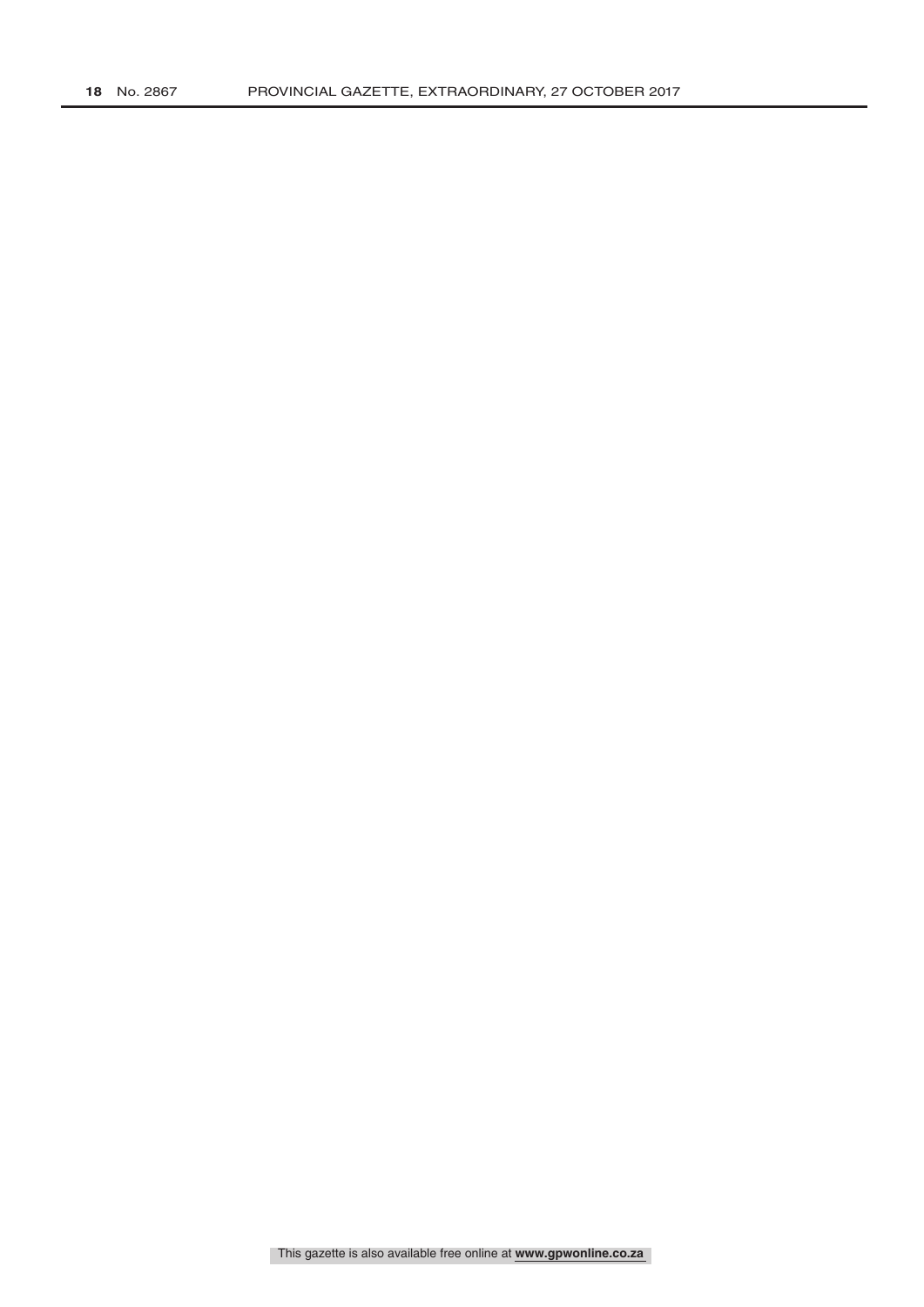This gazette is also available free online at **www.gpwonline.co.za**